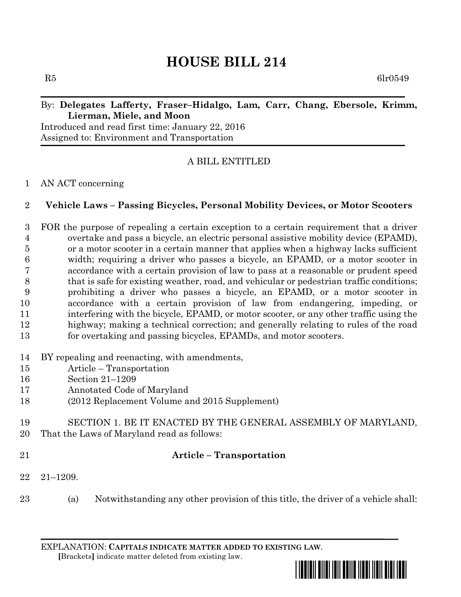# **HOUSE BILL 214**

 $R5$  6lr0549

### By: **Delegates Lafferty, Fraser–Hidalgo, Lam, Carr, Chang, Ebersole, Krimm, Lierman, Miele, and Moon**

Introduced and read first time: January 22, 2016 Assigned to: Environment and Transportation

# A BILL ENTITLED

#### AN ACT concerning

### **Vehicle Laws – Passing Bicycles, Personal Mobility Devices, or Motor Scooters**

 FOR the purpose of repealing a certain exception to a certain requirement that a driver overtake and pass a bicycle, an electric personal assistive mobility device (EPAMD), or a motor scooter in a certain manner that applies when a highway lacks sufficient width; requiring a driver who passes a bicycle, an EPAMD, or a motor scooter in accordance with a certain provision of law to pass at a reasonable or prudent speed that is safe for existing weather, road, and vehicular or pedestrian traffic conditions; prohibiting a driver who passes a bicycle, an EPAMD, or a motor scooter in accordance with a certain provision of law from endangering, impeding, or interfering with the bicycle, EPAMD, or motor scooter, or any other traffic using the highway; making a technical correction; and generally relating to rules of the road for overtaking and passing bicycles, EPAMDs, and motor scooters.

- BY repealing and reenacting, with amendments,
- Article Transportation
- Section 21–1209
- Annotated Code of Maryland
- (2012 Replacement Volume and 2015 Supplement)
- SECTION 1. BE IT ENACTED BY THE GENERAL ASSEMBLY OF MARYLAND, That the Laws of Maryland read as follows:
- 

# **Article – Transportation**

- 21–1209.
- (a) Notwithstanding any other provision of this title, the driver of a vehicle shall:

EXPLANATION: **CAPITALS INDICATE MATTER ADDED TO EXISTING LAW**.  **[**Brackets**]** indicate matter deleted from existing law.